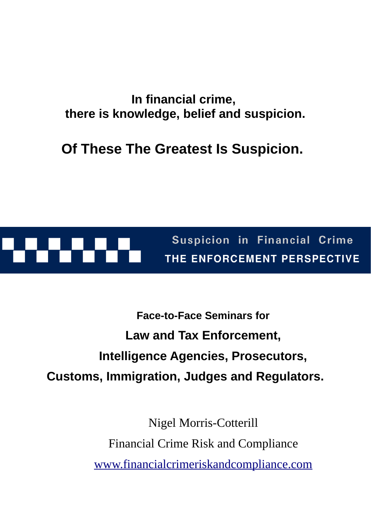### **In financial crime, there is knowledge, belief and suspicion.**

**Of These The Greatest Is Suspicion.**



Suspicion in Financial Crime THE ENFORCEMENT PERSPECTIVE

# **Face-to-Face Seminars for Law and Tax Enforcement, Intelligence Agencies, Prosecutors, Customs, Immigration, Judges and Regulators.**

Nigel Morris-Cotterill Financial Crime Risk and Compliance [www.financialcrimeriskandcompliance.com](https://www.financialcrimeriskandcompliance.com/)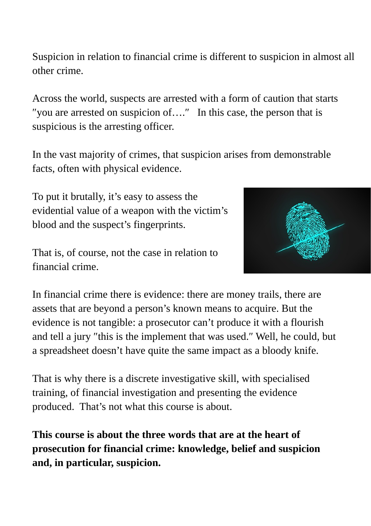Suspicion in relation to financial crime is different to suspicion in almost all other crime.

Across the world, suspects are arrested with a form of caution that starts ″you are arrested on suspicion of….″ In this case, the person that is suspicious is the arresting officer.

In the vast majority of crimes, that suspicion arises from demonstrable facts, often with physical evidence.

To put it brutally, it's easy to assess the evidential value of a weapon with the victim's blood and the suspect's fingerprints.

That is, of course, not the case in relation to financial crime.



In financial crime there is evidence: there are money trails, there are assets that are beyond a person's known means to acquire. But the evidence is not tangible: a prosecutor can't produce it with a flourish and tell a jury ″this is the implement that was used.″ Well, he could, but a spreadsheet doesn't have quite the same impact as a bloody knife.

That is why there is a discrete investigative skill, with specialised training, of financial investigation and presenting the evidence produced. That's not what this course is about.

**This course is about the three words that are at the heart of prosecution for financial crime: knowledge, belief and suspicion and, in particular, suspicion.**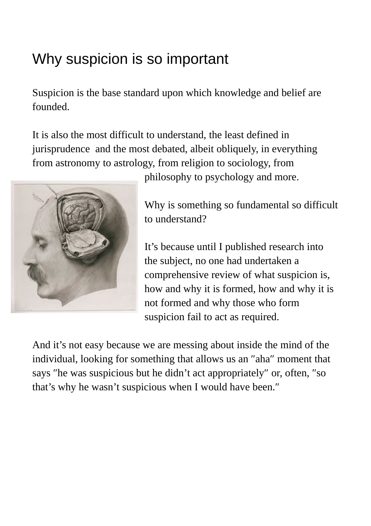# Why suspicion is so important

Suspicion is the base standard upon which knowledge and belief are founded.

It is also the most difficult to understand, the least defined in jurisprudence and the most debated, albeit obliquely, in everything from astronomy to astrology, from religion to sociology, from



philosophy to psychology and more.

Why is something so fundamental so difficult to understand?

It's because until I published research into the subject, no one had undertaken a comprehensive review of what suspicion is, how and why it is formed, how and why it is not formed and why those who form suspicion fail to act as required.

And it's not easy because we are messing about inside the mind of the individual, looking for something that allows us an ″aha″ moment that says ″he was suspicious but he didn't act appropriately″ or, often, ″so that's why he wasn't suspicious when I would have been.″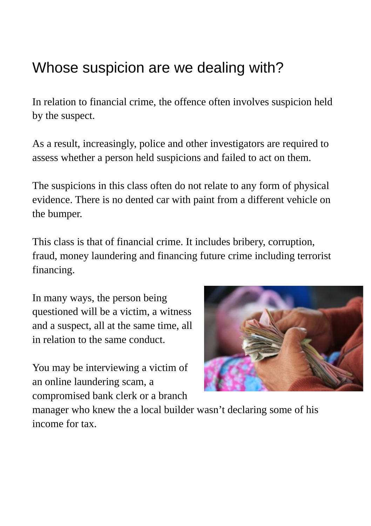## Whose suspicion are we dealing with?

In relation to financial crime, the offence often involves suspicion held by the suspect.

As a result, increasingly, police and other investigators are required to assess whether a person held suspicions and failed to act on them.

The suspicions in this class often do not relate to any form of physical evidence. There is no dented car with paint from a different vehicle on the bumper.

This class is that of financial crime. It includes bribery, corruption, fraud, money laundering and financing future crime including terrorist financing.

In many ways, the person being questioned will be a victim, a witness and a suspect, all at the same time, all in relation to the same conduct.

You may be interviewing a victim of an online laundering scam, a compromised bank clerk or a branch



manager who knew the a local builder wasn't declaring some of his income for tax.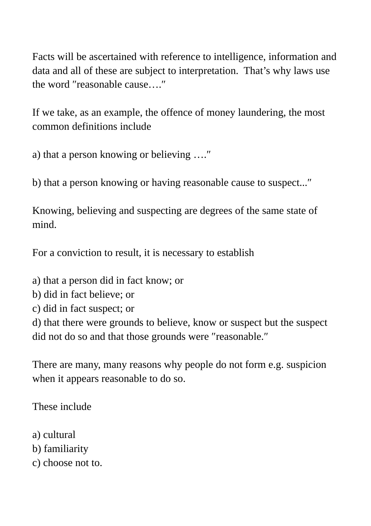Facts will be ascertained with reference to intelligence, information and data and all of these are subject to interpretation. That's why laws use the word ″reasonable cause….″

If we take, as an example, the offence of money laundering, the most common definitions include

a) that a person knowing or believing ….″

b) that a person knowing or having reasonable cause to suspect...″

Knowing, believing and suspecting are degrees of the same state of mind.

For a conviction to result, it is necessary to establish

a) that a person did in fact know; or

- b) did in fact believe; or
- c) did in fact suspect; or

d) that there were grounds to believe, know or suspect but the suspect did not do so and that those grounds were ″reasonable.″

There are many, many reasons why people do not form e.g. suspicion when it appears reasonable to do so.

These include

- a) cultural
- b) familiarity
- c) choose not to.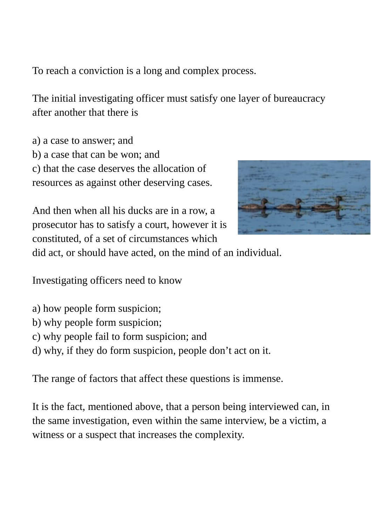To reach a conviction is a long and complex process.

The initial investigating officer must satisfy one layer of bureaucracy after another that there is

a) a case to answer; and b) a case that can be won; and c) that the case deserves the allocation of resources as against other deserving cases.





did act, or should have acted, on the mind of an individual.

Investigating officers need to know

- a) how people form suspicion;
- b) why people form suspicion;
- c) why people fail to form suspicion; and
- d) why, if they do form suspicion, people don't act on it.

The range of factors that affect these questions is immense.

It is the fact, mentioned above, that a person being interviewed can, in the same investigation, even within the same interview, be a victim, a witness or a suspect that increases the complexity.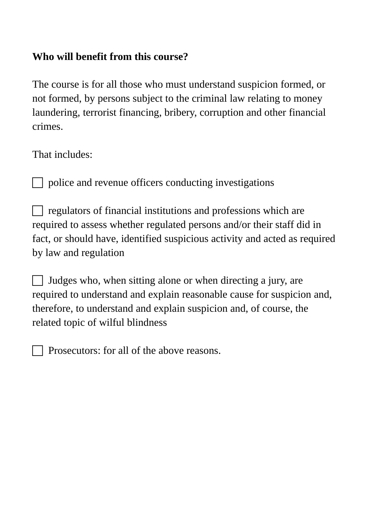### **Who will benefit from this course?**

The course is for all those who must understand suspicion formed, or not formed, by persons subject to the criminal law relating to money laundering, terrorist financing, bribery, corruption and other financial crimes.

That includes:

police and revenue officers conducting investigations

 $\Box$  regulators of financial institutions and professions which are required to assess whether regulated persons and/or their staff did in fact, or should have, identified suspicious activity and acted as required by law and regulation

 $\Box$  Judges who, when sitting alone or when directing a jury, are required to understand and explain reasonable cause for suspicion and, therefore, to understand and explain suspicion and, of course, the related topic of wilful blindness

Prosecutors: for all of the above reasons.